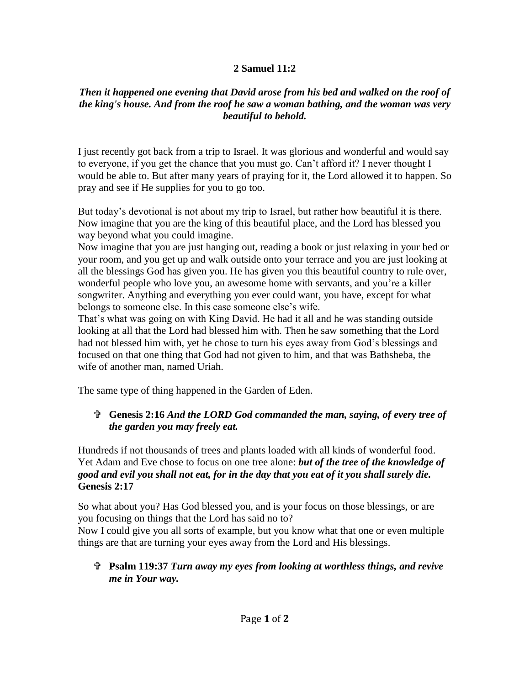## **2 Samuel 11:2**

## *Then it happened one evening that David arose from his bed and walked on the roof of the king's house. And from the roof he saw a woman bathing, and the woman was very beautiful to behold.*

I just recently got back from a trip to Israel. It was glorious and wonderful and would say to everyone, if you get the chance that you must go. Can't afford it? I never thought I would be able to. But after many years of praying for it, the Lord allowed it to happen. So pray and see if He supplies for you to go too.

But today's devotional is not about my trip to Israel, but rather how beautiful it is there. Now imagine that you are the king of this beautiful place, and the Lord has blessed you way beyond what you could imagine.

Now imagine that you are just hanging out, reading a book or just relaxing in your bed or your room, and you get up and walk outside onto your terrace and you are just looking at all the blessings God has given you. He has given you this beautiful country to rule over, wonderful people who love you, an awesome home with servants, and you're a killer songwriter. Anything and everything you ever could want, you have, except for what belongs to someone else. In this case someone else's wife.

That's what was going on with King David. He had it all and he was standing outside looking at all that the Lord had blessed him with. Then he saw something that the Lord had not blessed him with, yet he chose to turn his eyes away from God's blessings and focused on that one thing that God had not given to him, and that was Bathsheba, the wife of another man, named Uriah.

The same type of thing happened in the Garden of Eden.

## **Genesis 2:16** *And the LORD God commanded the man, saying, of every tree of the garden you may freely eat.*

Hundreds if not thousands of trees and plants loaded with all kinds of wonderful food. Yet Adam and Eve chose to focus on one tree alone: *but of the tree of the knowledge of good and evil you shall not eat, for in the day that you eat of it you shall surely die.* **Genesis 2:17**

So what about you? Has God blessed you, and is your focus on those blessings, or are you focusing on things that the Lord has said no to?

Now I could give you all sorts of example, but you know what that one or even multiple things are that are turning your eyes away from the Lord and His blessings.

## **Psalm 119:37** *Turn away my eyes from looking at worthless things, and revive me in Your way.*